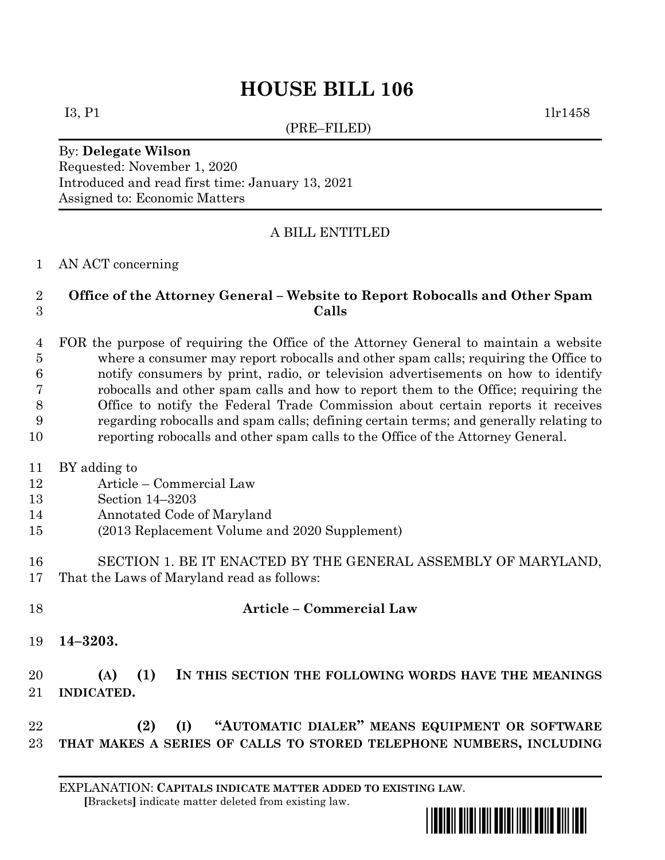# **HOUSE BILL 106**

(PRE–FILED)

 $I3, P1$  1lr1458

#### By: **Delegate Wilson** Requested: November 1, 2020 Introduced and read first time: January 13, 2021 Assigned to: Economic Matters

## A BILL ENTITLED

#### AN ACT concerning

### **Office of the Attorney General – Website to Report Robocalls and Other Spam Calls**

 FOR the purpose of requiring the Office of the Attorney General to maintain a website where a consumer may report robocalls and other spam calls; requiring the Office to notify consumers by print, radio, or television advertisements on how to identify robocalls and other spam calls and how to report them to the Office; requiring the Office to notify the Federal Trade Commission about certain reports it receives regarding robocalls and spam calls; defining certain terms; and generally relating to reporting robocalls and other spam calls to the Office of the Attorney General.

- BY adding to
- Article Commercial Law
- Section 14–3203
- Annotated Code of Maryland
- (2013 Replacement Volume and 2020 Supplement)
- SECTION 1. BE IT ENACTED BY THE GENERAL ASSEMBLY OF MARYLAND, That the Laws of Maryland read as follows:
- **Article – Commercial Law**
- **14–3203.**

# **(A) (1) IN THIS SECTION THE FOLLOWING WORDS HAVE THE MEANINGS INDICATED.**

 **(2) (I) "AUTOMATIC DIALER" MEANS EQUIPMENT OR SOFTWARE THAT MAKES A SERIES OF CALLS TO STORED TELEPHONE NUMBERS, INCLUDING**